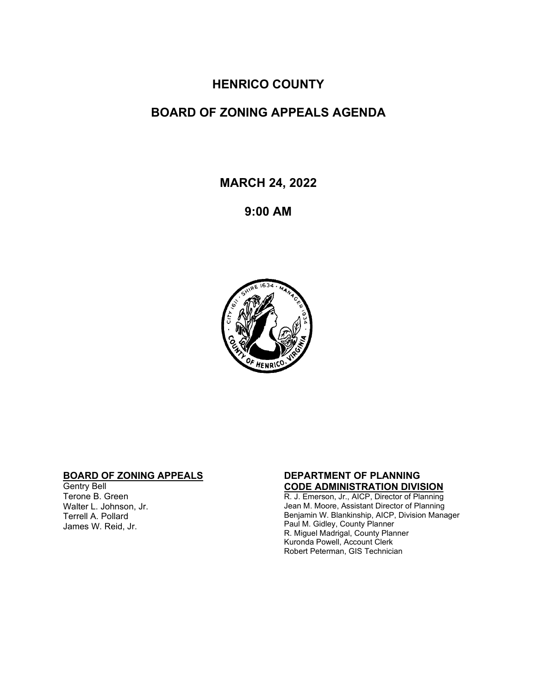## **HENRICO COUNTY**

# **BOARD OF ZONING APPEALS AGENDA**

**MARCH 24, 2022**

**9:00 AM**



### **BOARD OF ZONING APPEALS**

Gentry Bell Terone B. Green Walter L. Johnson, Jr. Terrell A. Pollard James W. Reid, Jr.

#### **DEPARTMENT OF PLANNING CODE ADMINISTRATION DIVISION**

R. J. Emerson, Jr., AICP, Director of Planning Jean M. Moore, Assistant Director of Planning Benjamin W. Blankinship, AICP, Division Manager Paul M. Gidley, County Planner R. Miguel Madrigal, County Planner Kuronda Powell, Account Clerk Robert Peterman, GIS Technician